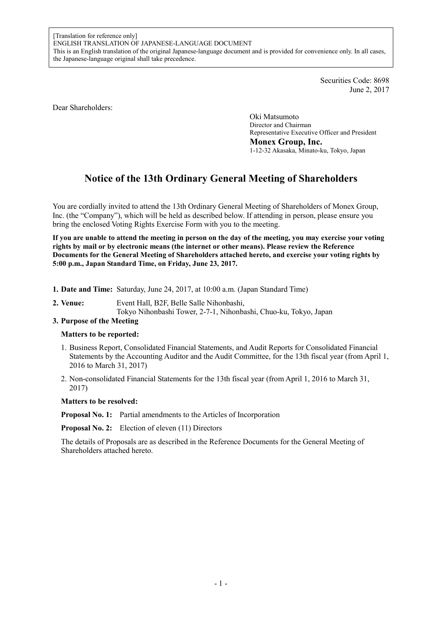Securities Code: 8698 June 2, 2017

Dear Shareholders:

Oki Matsumoto Director and Chairman Representative Executive Officer and President **Monex Group, Inc.**  1-12-32 Akasaka, Minato-ku, Tokyo, Japan

# **Notice of the 13th Ordinary General Meeting of Shareholders**

You are cordially invited to attend the 13th Ordinary General Meeting of Shareholders of Monex Group, Inc. (the "Company"), which will be held as described below. If attending in person, please ensure you bring the enclosed Voting Rights Exercise Form with you to the meeting.

**If you are unable to attend the meeting in person on the day of the meeting, you may exercise your voting rights by mail or by electronic means (the internet or other means). Please review the Reference Documents for the General Meeting of Shareholders attached hereto, and exercise your voting rights by 5:00 p.m., Japan Standard Time, on Friday, June 23, 2017.** 

- **1. Date and Time:** Saturday, June 24, 2017, at 10:00 a.m. (Japan Standard Time)
- **2. Venue:** Event Hall, B2F, Belle Salle Nihonbashi,
	- Tokyo Nihonbashi Tower, 2-7-1, Nihonbashi, Chuo-ku, Tokyo, Japan

# **3. Purpose of the Meeting**

# **Matters to be reported:**

- 1. Business Report, Consolidated Financial Statements, and Audit Reports for Consolidated Financial Statements by the Accounting Auditor and the Audit Committee, for the 13th fiscal year (from April 1, 2016 to March 31, 2017)
- 2. Non-consolidated Financial Statements for the 13th fiscal year (from April 1, 2016 to March 31, 2017)

#### **Matters to be resolved:**

**Proposal No. 1:** Partial amendments to the Articles of Incorporation

**Proposal No. 2:** Election of eleven (11) Directors

The details of Proposals are as described in the Reference Documents for the General Meeting of Shareholders attached hereto.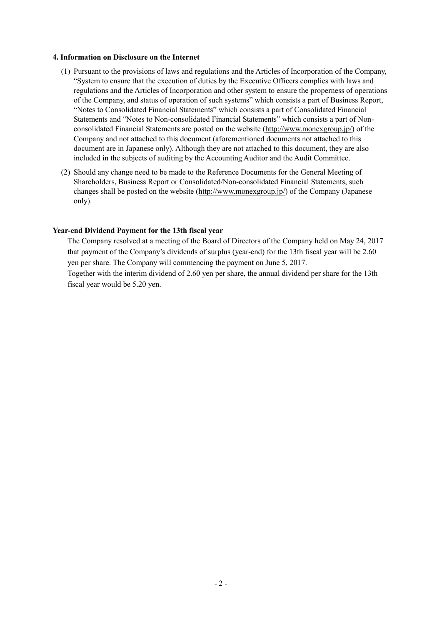### **4. Information on Disclosure on the Internet**

- (1) Pursuant to the provisions of laws and regulations and the Articles of Incorporation of the Company, "System to ensure that the execution of duties by the Executive Officers complies with laws and regulations and the Articles of Incorporation and other system to ensure the properness of operations of the Company, and status of operation of such systems" which consists a part of Business Report, "Notes to Consolidated Financial Statements" which consists a part of Consolidated Financial Statements and "Notes to Non-consolidated Financial Statements" which consists a part of Nonconsolidated Financial Statements are posted on the website (http://www.monexgroup.jp/) of the Company and not attached to this document (aforementioned documents not attached to this document are in Japanese only). Although they are not attached to this document, they are also included in the subjects of auditing by the Accounting Auditor and the Audit Committee.
- (2) Should any change need to be made to the Reference Documents for the General Meeting of Shareholders, Business Report or Consolidated/Non-consolidated Financial Statements, such changes shall be posted on the website (http://www.monexgroup.jp/) of the Company (Japanese only).

# **Year-end Dividend Payment for the 13th fiscal year**

The Company resolved at a meeting of the Board of Directors of the Company held on May 24, 2017 that payment of the Company's dividends of surplus (year-end) for the 13th fiscal year will be 2.60 yen per share. The Company will commencing the payment on June 5, 2017.

Together with the interim dividend of 2.60 yen per share, the annual dividend per share for the 13th fiscal year would be 5.20 yen.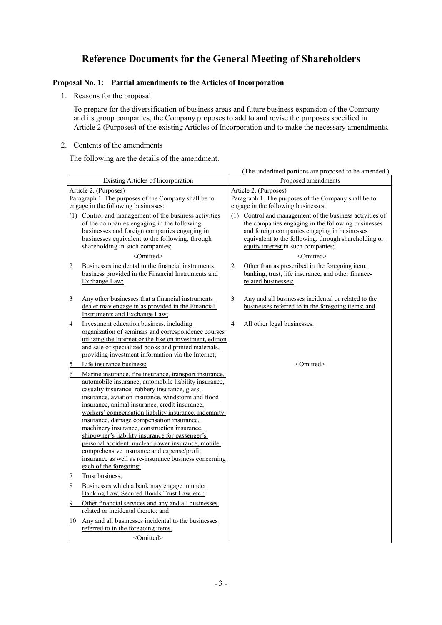# **Reference Documents for the General Meeting of Shareholders**

# **Proposal No. 1: Partial amendments to the Articles of Incorporation**

1. Reasons for the proposal

To prepare for the diversification of business areas and future business expansion of the Company and its group companies, the Company proposes to add to and revise the purposes specified in Article 2 (Purposes) of the existing Articles of Incorporation and to make the necessary amendments.

2. Contents of the amendments

The following are the details of the amendment.

|                                                                                                                                                                                                                                                                                                                                                                                                                                                                                                                                                                                                                                                                             | (The underlined portions are proposed to be amended.)                                                                                                                                                                                                        |  |  |
|-----------------------------------------------------------------------------------------------------------------------------------------------------------------------------------------------------------------------------------------------------------------------------------------------------------------------------------------------------------------------------------------------------------------------------------------------------------------------------------------------------------------------------------------------------------------------------------------------------------------------------------------------------------------------------|--------------------------------------------------------------------------------------------------------------------------------------------------------------------------------------------------------------------------------------------------------------|--|--|
| Existing Articles of Incorporation                                                                                                                                                                                                                                                                                                                                                                                                                                                                                                                                                                                                                                          | Proposed amendments                                                                                                                                                                                                                                          |  |  |
| Article 2. (Purposes)<br>Paragraph 1. The purposes of the Company shall be to<br>engage in the following businesses:                                                                                                                                                                                                                                                                                                                                                                                                                                                                                                                                                        | Article 2. (Purposes)<br>Paragraph 1. The purposes of the Company shall be to<br>engage in the following businesses:                                                                                                                                         |  |  |
| (1) Control and management of the business activities<br>of the companies engaging in the following<br>businesses and foreign companies engaging in<br>businesses equivalent to the following, through<br>shareholding in such companies;                                                                                                                                                                                                                                                                                                                                                                                                                                   | (1) Control and management of the business activities of<br>the companies engaging in the following businesses<br>and foreign companies engaging in businesses<br>equivalent to the following, through shareholding or<br>equity interest in such companies; |  |  |
| <omitted></omitted>                                                                                                                                                                                                                                                                                                                                                                                                                                                                                                                                                                                                                                                         | <omitted></omitted>                                                                                                                                                                                                                                          |  |  |
| Businesses incidental to the financial instruments<br>$\overline{2}$<br>business provided in the Financial Instruments and<br>Exchange Law;                                                                                                                                                                                                                                                                                                                                                                                                                                                                                                                                 | Other than as prescribed in the foregoing item,<br>$\overline{2}$<br>banking, trust, life insurance, and other finance-<br>related businesses;                                                                                                               |  |  |
| Any other businesses that a financial instruments<br>3<br>dealer may engage in as provided in the Financial<br>Instruments and Exchange Law;                                                                                                                                                                                                                                                                                                                                                                                                                                                                                                                                | 3<br>Any and all businesses incidental or related to the<br>businesses referred to in the foregoing items; and                                                                                                                                               |  |  |
| Investment education business, including<br>4<br>organization of seminars and correspondence courses<br>utilizing the Internet or the like on investment, edition<br>and sale of specialized books and printed materials,<br>providing investment information via the Internet;                                                                                                                                                                                                                                                                                                                                                                                             | All other legal businesses.<br>4                                                                                                                                                                                                                             |  |  |
| Life insurance business;<br>5                                                                                                                                                                                                                                                                                                                                                                                                                                                                                                                                                                                                                                               | $\leq$ Omitted $\geq$                                                                                                                                                                                                                                        |  |  |
| 6<br>Marine insurance, fire insurance, transport insurance,<br>automobile insurance, automobile liability insurance,<br>casualty insurance, robbery insurance, glass<br>insurance, aviation insurance, windstorm and flood<br>insurance, animal insurance, credit insurance,<br>workers' compensation liability insurance, indemnity<br>insurance, damage compensation insurance,<br>machinery insurance, construction insurance,<br>shipowner's liability insurance for passenger's<br>personal accident, nuclear power insurance, mobile<br>comprehensive insurance and expense/profit<br>insurance as well as re-insurance business concerning<br>each of the foregoing; |                                                                                                                                                                                                                                                              |  |  |
| Trust business:<br>7                                                                                                                                                                                                                                                                                                                                                                                                                                                                                                                                                                                                                                                        |                                                                                                                                                                                                                                                              |  |  |
| Businesses which a bank may engage in under<br>8<br>Banking Law, Secured Bonds Trust Law, etc.;                                                                                                                                                                                                                                                                                                                                                                                                                                                                                                                                                                             |                                                                                                                                                                                                                                                              |  |  |
| Other financial services and any and all businesses<br>$\overline{9}$<br>related or incidental thereto; and                                                                                                                                                                                                                                                                                                                                                                                                                                                                                                                                                                 |                                                                                                                                                                                                                                                              |  |  |
| 10 Any and all businesses incidental to the businesses<br>referred to in the foregoing items.                                                                                                                                                                                                                                                                                                                                                                                                                                                                                                                                                                               |                                                                                                                                                                                                                                                              |  |  |
| <omitted></omitted>                                                                                                                                                                                                                                                                                                                                                                                                                                                                                                                                                                                                                                                         |                                                                                                                                                                                                                                                              |  |  |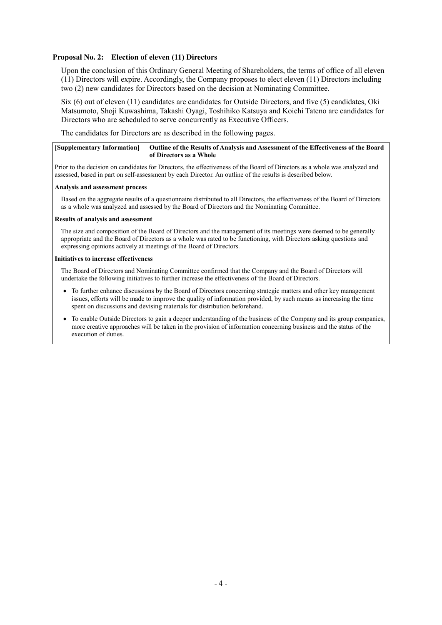# **Proposal No. 2: Election of eleven (11) Directors**

Upon the conclusion of this Ordinary General Meeting of Shareholders, the terms of office of all eleven (11) Directors will expire. Accordingly, the Company proposes to elect eleven (11) Directors including two (2) new candidates for Directors based on the decision at Nominating Committee.

Six (6) out of eleven (11) candidates are candidates for Outside Directors, and five (5) candidates, Oki Matsumoto, Shoji Kuwashima, Takashi Oyagi, Toshihiko Katsuya and Koichi Tateno are candidates for Directors who are scheduled to serve concurrently as Executive Officers.

The candidates for Directors are as described in the following pages.

#### **[Supplementary Information] Outline of the Results of Analysis and Assessment of the Effectiveness of the Board of Directors as a Whole**

Prior to the decision on candidates for Directors, the effectiveness of the Board of Directors as a whole was analyzed and assessed, based in part on self-assessment by each Director. An outline of the results is described below.

#### **Analysis and assessment process**

Based on the aggregate results of a questionnaire distributed to all Directors, the effectiveness of the Board of Directors as a whole was analyzed and assessed by the Board of Directors and the Nominating Committee.

#### **Results of analysis and assessment**

The size and composition of the Board of Directors and the management of its meetings were deemed to be generally appropriate and the Board of Directors as a whole was rated to be functioning, with Directors asking questions and expressing opinions actively at meetings of the Board of Directors.

#### **Initiatives to increase effectiveness**

The Board of Directors and Nominating Committee confirmed that the Company and the Board of Directors will undertake the following initiatives to further increase the effectiveness of the Board of Directors.

- To further enhance discussions by the Board of Directors concerning strategic matters and other key management issues, efforts will be made to improve the quality of information provided, by such means as increasing the time spent on discussions and devising materials for distribution beforehand.
- To enable Outside Directors to gain a deeper understanding of the business of the Company and its group companies, more creative approaches will be taken in the provision of information concerning business and the status of the execution of duties.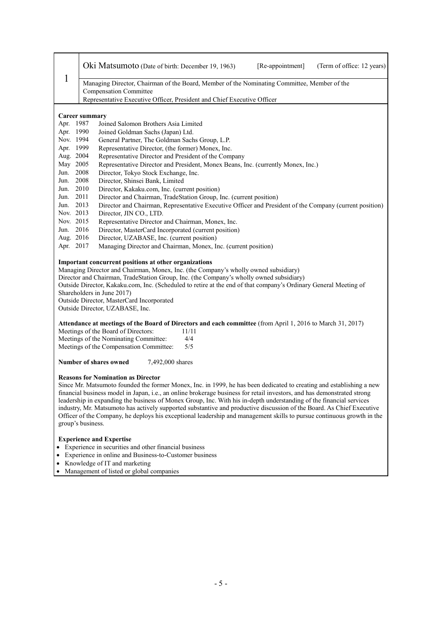|                                                         | Oki Matsumoto (Date of birth: December 19, 1963)<br>[Re-appointment]<br>(Term of office: 12 years)                                                                                                                                                                                                                                                                                                                                                                                                                                                                                                                                                                                          |  |
|---------------------------------------------------------|---------------------------------------------------------------------------------------------------------------------------------------------------------------------------------------------------------------------------------------------------------------------------------------------------------------------------------------------------------------------------------------------------------------------------------------------------------------------------------------------------------------------------------------------------------------------------------------------------------------------------------------------------------------------------------------------|--|
| 1                                                       | Managing Director, Chairman of the Board, Member of the Nominating Committee, Member of the                                                                                                                                                                                                                                                                                                                                                                                                                                                                                                                                                                                                 |  |
|                                                         | <b>Compensation Committee</b>                                                                                                                                                                                                                                                                                                                                                                                                                                                                                                                                                                                                                                                               |  |
|                                                         | Representative Executive Officer, President and Chief Executive Officer                                                                                                                                                                                                                                                                                                                                                                                                                                                                                                                                                                                                                     |  |
|                                                         | <b>Career summary</b>                                                                                                                                                                                                                                                                                                                                                                                                                                                                                                                                                                                                                                                                       |  |
| Apr. 1987                                               | Joined Salomon Brothers Asia Limited                                                                                                                                                                                                                                                                                                                                                                                                                                                                                                                                                                                                                                                        |  |
| Apr. 1990                                               | Joined Goldman Sachs (Japan) Ltd.                                                                                                                                                                                                                                                                                                                                                                                                                                                                                                                                                                                                                                                           |  |
| Nov. 1994<br>Apr. 1999                                  | General Partner, The Goldman Sachs Group, L.P.                                                                                                                                                                                                                                                                                                                                                                                                                                                                                                                                                                                                                                              |  |
| Aug. 2004                                               | Representative Director, (the former) Monex, Inc.<br>Representative Director and President of the Company                                                                                                                                                                                                                                                                                                                                                                                                                                                                                                                                                                                   |  |
| May 2005                                                | Representative Director and President, Monex Beans, Inc. (currently Monex, Inc.)                                                                                                                                                                                                                                                                                                                                                                                                                                                                                                                                                                                                            |  |
| Jun.                                                    | 2008<br>Director, Tokyo Stock Exchange, Inc.                                                                                                                                                                                                                                                                                                                                                                                                                                                                                                                                                                                                                                                |  |
| Jun. 2008                                               | Director, Shinsei Bank, Limited                                                                                                                                                                                                                                                                                                                                                                                                                                                                                                                                                                                                                                                             |  |
| Jun. 2010                                               | Director, Kakaku.com, Inc. (current position)                                                                                                                                                                                                                                                                                                                                                                                                                                                                                                                                                                                                                                               |  |
| Jun. 2011                                               | Director and Chairman, TradeStation Group, Inc. (current position)                                                                                                                                                                                                                                                                                                                                                                                                                                                                                                                                                                                                                          |  |
| Jun. 2013                                               | Director and Chairman, Representative Executive Officer and President of the Company (current position)                                                                                                                                                                                                                                                                                                                                                                                                                                                                                                                                                                                     |  |
| Nov. 2013                                               | Director, JIN CO., LTD.                                                                                                                                                                                                                                                                                                                                                                                                                                                                                                                                                                                                                                                                     |  |
| Nov. 2015                                               | Representative Director and Chairman, Monex, Inc.                                                                                                                                                                                                                                                                                                                                                                                                                                                                                                                                                                                                                                           |  |
| Jun. 2016                                               | Director, MasterCard Incorporated (current position)                                                                                                                                                                                                                                                                                                                                                                                                                                                                                                                                                                                                                                        |  |
| Aug. 2016<br>Director, UZABASE, Inc. (current position) |                                                                                                                                                                                                                                                                                                                                                                                                                                                                                                                                                                                                                                                                                             |  |
| Apr. 2017                                               | Managing Director and Chairman, Monex, Inc. (current position)                                                                                                                                                                                                                                                                                                                                                                                                                                                                                                                                                                                                                              |  |
|                                                         | Important concurrent positions at other organizations<br>Managing Director and Chairman, Monex, Inc. (the Company's wholly owned subsidiary)<br>Director and Chairman, TradeStation Group, Inc. (the Company's wholly owned subsidiary)<br>Outside Director, Kakaku.com, Inc. (Scheduled to retire at the end of that company's Ordinary General Meeting of<br>Shareholders in June 2017)<br>Outside Director, MasterCard Incorporated<br>Outside Director, UZABASE, Inc.                                                                                                                                                                                                                   |  |
|                                                         | Attendance at meetings of the Board of Directors and each committee (from April 1, 2016 to March 31, 2017)                                                                                                                                                                                                                                                                                                                                                                                                                                                                                                                                                                                  |  |
|                                                         | Meetings of the Board of Directors:<br>11/11                                                                                                                                                                                                                                                                                                                                                                                                                                                                                                                                                                                                                                                |  |
|                                                         | Meetings of the Nominating Committee:<br>4/4                                                                                                                                                                                                                                                                                                                                                                                                                                                                                                                                                                                                                                                |  |
|                                                         | 5/5<br>Meetings of the Compensation Committee:                                                                                                                                                                                                                                                                                                                                                                                                                                                                                                                                                                                                                                              |  |
|                                                         | Number of shares owned<br>7,492,000 shares                                                                                                                                                                                                                                                                                                                                                                                                                                                                                                                                                                                                                                                  |  |
|                                                         | <b>Reasons for Nomination as Director</b><br>Since Mr. Matsumoto founded the former Monex, Inc. in 1999, he has been dedicated to creating and establishing a new<br>financial business model in Japan, i.e., an online brokerage business for retail investors, and has demonstrated strong<br>leadership in expanding the business of Monex Group, Inc. With his in-depth understanding of the financial services<br>industry, Mr. Matsumoto has actively supported substantive and productive discussion of the Board. As Chief Executive<br>Officer of the Company, he deploys his exceptional leadership and management skills to pursue continuous growth in the<br>group's business. |  |
|                                                         | <b>Experience and Expertise</b>                                                                                                                                                                                                                                                                                                                                                                                                                                                                                                                                                                                                                                                             |  |

- Experience in securities and other financial business
- Experience in online and Business-to-Customer business
- Knowledge of IT and marketing
- Management of listed or global companies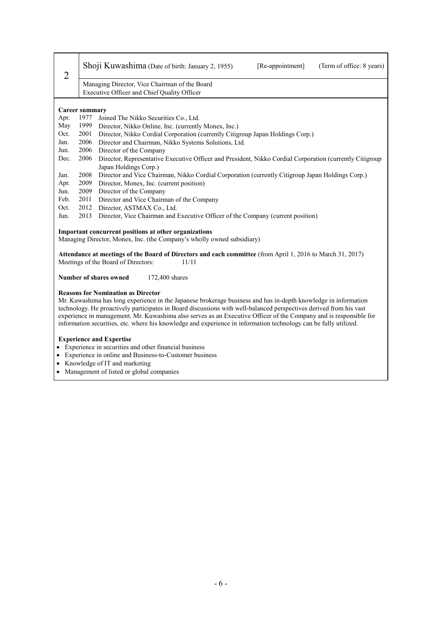| $\overline{2}$                                                                                                                                             |                                                                                                                                           | Shoji Kuwashima (Date of birth: January 2, 1955)<br>[Re-appointment]<br>(Term of office: 8 years)                                                                                                                                                                                                                                                                                                                                                                                                                          |  |  |  |
|------------------------------------------------------------------------------------------------------------------------------------------------------------|-------------------------------------------------------------------------------------------------------------------------------------------|----------------------------------------------------------------------------------------------------------------------------------------------------------------------------------------------------------------------------------------------------------------------------------------------------------------------------------------------------------------------------------------------------------------------------------------------------------------------------------------------------------------------------|--|--|--|
|                                                                                                                                                            | Managing Director, Vice Chairman of the Board                                                                                             |                                                                                                                                                                                                                                                                                                                                                                                                                                                                                                                            |  |  |  |
|                                                                                                                                                            | Executive Officer and Chief Quality Officer                                                                                               |                                                                                                                                                                                                                                                                                                                                                                                                                                                                                                                            |  |  |  |
|                                                                                                                                                            |                                                                                                                                           |                                                                                                                                                                                                                                                                                                                                                                                                                                                                                                                            |  |  |  |
|                                                                                                                                                            | <b>Career summary</b>                                                                                                                     |                                                                                                                                                                                                                                                                                                                                                                                                                                                                                                                            |  |  |  |
| Apr.                                                                                                                                                       | 1977                                                                                                                                      | Joined The Nikko Securities Co., Ltd.                                                                                                                                                                                                                                                                                                                                                                                                                                                                                      |  |  |  |
| May                                                                                                                                                        | 1999                                                                                                                                      | Director, Nikko Online, Inc. (currently Monex, Inc.)                                                                                                                                                                                                                                                                                                                                                                                                                                                                       |  |  |  |
| Oct.                                                                                                                                                       | 2001                                                                                                                                      | Director, Nikko Cordial Corporation (currently Citigroup Japan Holdings Corp.)                                                                                                                                                                                                                                                                                                                                                                                                                                             |  |  |  |
| Jan.                                                                                                                                                       | 2006                                                                                                                                      | Director and Chairman, Nikko Systems Solutions, Ltd.                                                                                                                                                                                                                                                                                                                                                                                                                                                                       |  |  |  |
| Jun.                                                                                                                                                       | 2006                                                                                                                                      | Director of the Company                                                                                                                                                                                                                                                                                                                                                                                                                                                                                                    |  |  |  |
| Dec.                                                                                                                                                       | 2006<br>Director, Representative Executive Officer and President, Nikko Cordial Corporation (currently Citigroup<br>Japan Holdings Corp.) |                                                                                                                                                                                                                                                                                                                                                                                                                                                                                                                            |  |  |  |
| Jan.                                                                                                                                                       | 2008                                                                                                                                      | Director and Vice Chairman, Nikko Cordial Corporation (currently Citigroup Japan Holdings Corp.)                                                                                                                                                                                                                                                                                                                                                                                                                           |  |  |  |
| Apr.                                                                                                                                                       | 2009<br>Director, Monex, Inc. (current position)                                                                                          |                                                                                                                                                                                                                                                                                                                                                                                                                                                                                                                            |  |  |  |
| Jun.                                                                                                                                                       | 2009<br>Director of the Company                                                                                                           |                                                                                                                                                                                                                                                                                                                                                                                                                                                                                                                            |  |  |  |
| Feb.                                                                                                                                                       | 2011<br>Director and Vice Chairman of the Company                                                                                         |                                                                                                                                                                                                                                                                                                                                                                                                                                                                                                                            |  |  |  |
| Oct.                                                                                                                                                       | 2012<br>Director, ASTMAX Co., Ltd.                                                                                                        |                                                                                                                                                                                                                                                                                                                                                                                                                                                                                                                            |  |  |  |
| Jun.                                                                                                                                                       | 2013<br>Director, Vice Chairman and Executive Officer of the Company (current position)                                                   |                                                                                                                                                                                                                                                                                                                                                                                                                                                                                                                            |  |  |  |
|                                                                                                                                                            |                                                                                                                                           | Important concurrent positions at other organizations                                                                                                                                                                                                                                                                                                                                                                                                                                                                      |  |  |  |
|                                                                                                                                                            |                                                                                                                                           | Managing Director, Monex, Inc. (the Company's wholly owned subsidiary)                                                                                                                                                                                                                                                                                                                                                                                                                                                     |  |  |  |
| Attendance at meetings of the Board of Directors and each committee (from April 1, 2016 to March 31, 2017)<br>Meetings of the Board of Directors:<br>11/11 |                                                                                                                                           |                                                                                                                                                                                                                                                                                                                                                                                                                                                                                                                            |  |  |  |
|                                                                                                                                                            | Number of shares owned<br>172,400 shares                                                                                                  |                                                                                                                                                                                                                                                                                                                                                                                                                                                                                                                            |  |  |  |
|                                                                                                                                                            |                                                                                                                                           | <b>Reasons for Nomination as Director</b><br>Mr. Kuwashima has long experience in the Japanese brokerage business and has in-depth knowledge in information<br>technology. He proactively participates in Board discussions with well-balanced perspectives derived from his vast<br>experience in management. Mr. Kuwashima also serves as an Executive Officer of the Company and is responsible for<br>information securities, etc. where his knowledge and experience in information technology can be fully utilized. |  |  |  |
|                                                                                                                                                            |                                                                                                                                           | <b>Experience and Expertise</b>                                                                                                                                                                                                                                                                                                                                                                                                                                                                                            |  |  |  |

- Experience in securities and other financial business
- Experience in online and Business-to-Customer business
- Knowledge of IT and marketing
- Management of listed or global companies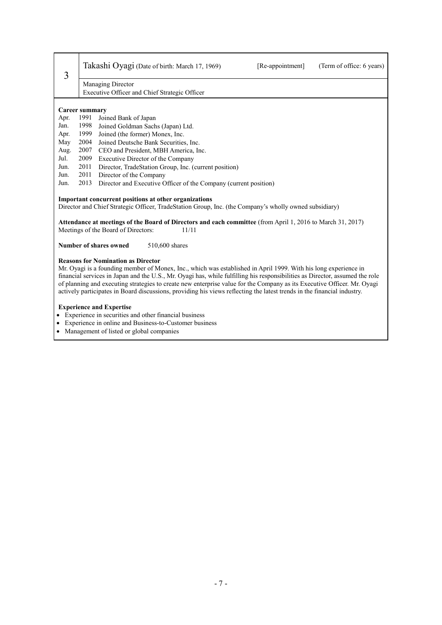| 3                                                                                                                                                                                                                                                                                                                                                                                                                                                                                                                                                  |                                                                                                                                                                                                                                                                                                                               | Takashi Oyagi (Date of birth: March 17, 1969)                    | [Re-appointment] | (Term of office: 6 years) |
|----------------------------------------------------------------------------------------------------------------------------------------------------------------------------------------------------------------------------------------------------------------------------------------------------------------------------------------------------------------------------------------------------------------------------------------------------------------------------------------------------------------------------------------------------|-------------------------------------------------------------------------------------------------------------------------------------------------------------------------------------------------------------------------------------------------------------------------------------------------------------------------------|------------------------------------------------------------------|------------------|---------------------------|
|                                                                                                                                                                                                                                                                                                                                                                                                                                                                                                                                                    | Managing Director                                                                                                                                                                                                                                                                                                             |                                                                  |                  |                           |
|                                                                                                                                                                                                                                                                                                                                                                                                                                                                                                                                                    |                                                                                                                                                                                                                                                                                                                               | Executive Officer and Chief Strategic Officer                    |                  |                           |
|                                                                                                                                                                                                                                                                                                                                                                                                                                                                                                                                                    |                                                                                                                                                                                                                                                                                                                               |                                                                  |                  |                           |
|                                                                                                                                                                                                                                                                                                                                                                                                                                                                                                                                                    | <b>Career summary</b>                                                                                                                                                                                                                                                                                                         |                                                                  |                  |                           |
| Apr.                                                                                                                                                                                                                                                                                                                                                                                                                                                                                                                                               | 1991                                                                                                                                                                                                                                                                                                                          | Joined Bank of Japan                                             |                  |                           |
| Jan.                                                                                                                                                                                                                                                                                                                                                                                                                                                                                                                                               | 1998<br>Joined Goldman Sachs (Japan) Ltd.                                                                                                                                                                                                                                                                                     |                                                                  |                  |                           |
| Apr.                                                                                                                                                                                                                                                                                                                                                                                                                                                                                                                                               | 1999                                                                                                                                                                                                                                                                                                                          | Joined (the former) Monex, Inc.                                  |                  |                           |
| May                                                                                                                                                                                                                                                                                                                                                                                                                                                                                                                                                | 2004                                                                                                                                                                                                                                                                                                                          | Joined Deutsche Bank Securities, Inc.                            |                  |                           |
| Aug.                                                                                                                                                                                                                                                                                                                                                                                                                                                                                                                                               | 2007                                                                                                                                                                                                                                                                                                                          | CEO and President, MBH America, Inc.                             |                  |                           |
| Jul.                                                                                                                                                                                                                                                                                                                                                                                                                                                                                                                                               | 2009<br>Executive Director of the Company                                                                                                                                                                                                                                                                                     |                                                                  |                  |                           |
| Jun.                                                                                                                                                                                                                                                                                                                                                                                                                                                                                                                                               | 2011<br>Director, TradeStation Group, Inc. (current position)                                                                                                                                                                                                                                                                 |                                                                  |                  |                           |
| Jun.                                                                                                                                                                                                                                                                                                                                                                                                                                                                                                                                               | 2011                                                                                                                                                                                                                                                                                                                          | Director of the Company                                          |                  |                           |
| Jun.                                                                                                                                                                                                                                                                                                                                                                                                                                                                                                                                               | 2013                                                                                                                                                                                                                                                                                                                          | Director and Executive Officer of the Company (current position) |                  |                           |
|                                                                                                                                                                                                                                                                                                                                                                                                                                                                                                                                                    | Important concurrent positions at other organizations<br>Director and Chief Strategic Officer, TradeStation Group, Inc. (the Company's wholly owned subsidiary)<br>Attendance at meetings of the Board of Directors and each committee (from April 1, 2016 to March 31, 2017)<br>Meetings of the Board of Directors:<br>11/11 |                                                                  |                  |                           |
|                                                                                                                                                                                                                                                                                                                                                                                                                                                                                                                                                    | Number of shares owned<br>510,600 shares                                                                                                                                                                                                                                                                                      |                                                                  |                  |                           |
| <b>Reasons for Nomination as Director</b><br>Mr. Oyagi is a founding member of Monex, Inc., which was established in April 1999. With his long experience in<br>financial services in Japan and the U.S., Mr. Oyagi has, while fulfilling his responsibilities as Director, assumed the role<br>of planning and executing strategies to create new enterprise value for the Company as its Executive Officer. Mr. Oyagi<br>actively participates in Board discussions, providing his views reflecting the latest trends in the financial industry. |                                                                                                                                                                                                                                                                                                                               |                                                                  |                  |                           |
| $\bullet$                                                                                                                                                                                                                                                                                                                                                                                                                                                                                                                                          | <b>Experience and Expertise</b><br>Experience in securities and other financial business<br>Experience in online and Business-to-Customer business                                                                                                                                                                            |                                                                  |                  |                           |

 $\overline{\phantom{a}}$ 

Management of listed or global companies

 $\mathbf{r}$ 

┯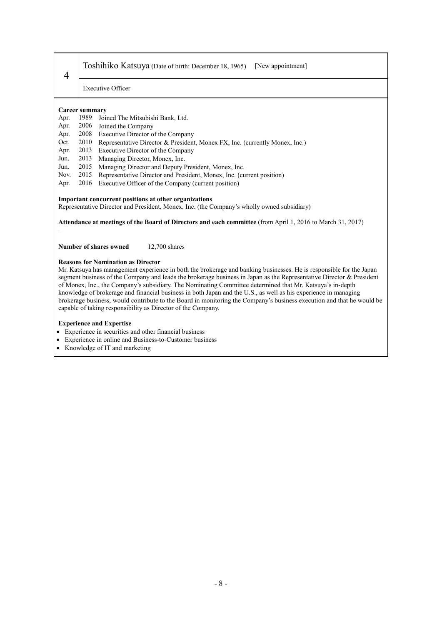# Toshihiko Katsuya (Date of birth: December 18, 1965) [New appointment]

Executive Officer

#### **Career summary**

4

- Apr. 1989 Joined The Mitsubishi Bank, Ltd.
- Apr. 2006 Joined the Company
- Apr. 2008 Executive Director of the Company
- Oct. 2010 Representative Director & President, Monex FX, Inc. (currently Monex, Inc.)
- Apr. 2013 Executive Director of the Company
- Jun. 2013 Managing Director, Monex, Inc.
- Jun. 2015 Managing Director and Deputy President, Monex, Inc. (cu. 2015 Representative Director and President, Monex, Inc. (cu.
- Nov. 2015 Representative Director and President, Monex, Inc. (current position)
- Apr. 2016 Executive Officer of the Company (current position)

#### **Important concurrent positions at other organizations**

Representative Director and President, Monex, Inc. (the Company's wholly owned subsidiary)

**Attendance at meetings of the Board of Directors and each committee** (from April 1, 2016 to March 31, 2017) –

**Number of shares owned** 12,700 shares

#### **Reasons for Nomination as Director**

Mr. Katsuya has management experience in both the brokerage and banking businesses. He is responsible for the Japan segment business of the Company and leads the brokerage business in Japan as the Representative Director & President of Monex, Inc., the Company's subsidiary. The Nominating Committee determined that Mr. Katsuya's in-depth knowledge of brokerage and financial business in both Japan and the U.S., as well as his experience in managing brokerage business, would contribute to the Board in monitoring the Company's business execution and that he would be capable of taking responsibility as Director of the Company.

#### **Experience and Expertise**

- Experience in securities and other financial business
- Experience in online and Business-to-Customer business
- Knowledge of IT and marketing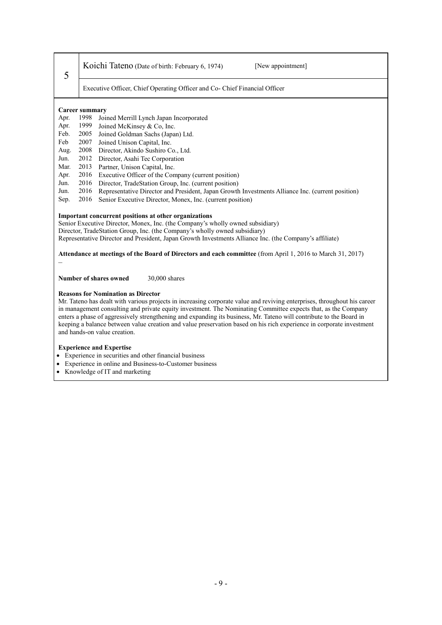| Koichi Tateno (Date of birth: February 6, 1974) |  |  |
|-------------------------------------------------|--|--|
|-------------------------------------------------|--|--|

[New appointment]

Executive Officer, Chief Operating Officer and Co- Chief Financial Officer

# **Career summary**

5

- 1998 Joined Merrill Lynch Japan Incorporated
- Apr. 1999 Joined McKinsey & Co, Inc.
- Feb. 2005 Joined Goldman Sachs (Japan) Ltd.<br>Feb. 2007 Joined Unison Capital Inc.
- 2007 Joined Unison Capital, Inc.
- Aug. 2008 Director, Akindo Sushiro Co., Ltd.
- Jun. 2012 Director, Asahi Tec Corporation
- Mar. 2013 Partner, Unison Capital, Inc.
- Apr. 2016 Executive Officer of the Company (current position)
- Jun. 2016 Director, TradeStation Group, Inc. (current position)
- Jun. 2016 Representative Director and President, Japan Growth Investments Alliance Inc. (current position)
- Sep. 2016 Senior Executive Director, Monex, Inc. (current position)

#### **Important concurrent positions at other organizations**

Senior Executive Director, Monex, Inc. (the Company's wholly owned subsidiary) Director, TradeStation Group, Inc. (the Company's wholly owned subsidiary) Representative Director and President, Japan Growth Investments Alliance Inc. (the Company's affiliate)

**Attendance at meetings of the Board of Directors and each committee** (from April 1, 2016 to March 31, 2017)

–

**Number of shares owned** 30,000 shares

#### **Reasons for Nomination as Director**

Mr. Tateno has dealt with various projects in increasing corporate value and reviving enterprises, throughout his career in management consulting and private equity investment. The Nominating Committee expects that, as the Company enters a phase of aggressively strengthening and expanding its business, Mr. Tateno will contribute to the Board in keeping a balance between value creation and value preservation based on his rich experience in corporate investment and hands-on value creation.

#### **Experience and Expertise**

- Experience in securities and other financial business
- Experience in online and Business-to-Customer business
- Knowledge of IT and marketing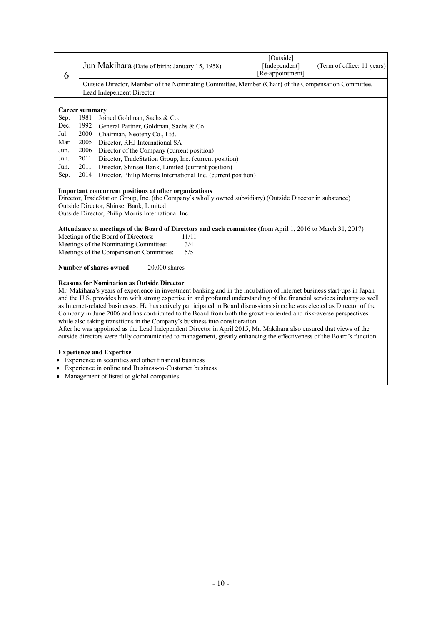| 6         | [Outside]<br>[Independent]<br>Jun Makihara (Date of birth: January 15, 1958)<br>(Term of office: 11 years)<br>[Re-appointment]                                                                                                                                                                                                                                                                                                                                                                                                                                                                                                                                                                                                                                                                                                                                                         |  |  |
|-----------|----------------------------------------------------------------------------------------------------------------------------------------------------------------------------------------------------------------------------------------------------------------------------------------------------------------------------------------------------------------------------------------------------------------------------------------------------------------------------------------------------------------------------------------------------------------------------------------------------------------------------------------------------------------------------------------------------------------------------------------------------------------------------------------------------------------------------------------------------------------------------------------|--|--|
|           | Outside Director, Member of the Nominating Committee, Member (Chair) of the Compensation Committee,<br>Lead Independent Director                                                                                                                                                                                                                                                                                                                                                                                                                                                                                                                                                                                                                                                                                                                                                       |  |  |
|           | <b>Career summary</b>                                                                                                                                                                                                                                                                                                                                                                                                                                                                                                                                                                                                                                                                                                                                                                                                                                                                  |  |  |
| Sep.      | 1981<br>Joined Goldman, Sachs & Co.                                                                                                                                                                                                                                                                                                                                                                                                                                                                                                                                                                                                                                                                                                                                                                                                                                                    |  |  |
| Dec.      | 1992<br>General Partner, Goldman, Sachs & Co.                                                                                                                                                                                                                                                                                                                                                                                                                                                                                                                                                                                                                                                                                                                                                                                                                                          |  |  |
| Jul.      | 2000<br>Chairman, Neoteny Co., Ltd.                                                                                                                                                                                                                                                                                                                                                                                                                                                                                                                                                                                                                                                                                                                                                                                                                                                    |  |  |
| Mar.      | 2005<br>Director, RHJ International SA                                                                                                                                                                                                                                                                                                                                                                                                                                                                                                                                                                                                                                                                                                                                                                                                                                                 |  |  |
| Jun.      | 2006<br>Director of the Company (current position)                                                                                                                                                                                                                                                                                                                                                                                                                                                                                                                                                                                                                                                                                                                                                                                                                                     |  |  |
| Jun.      | 2011<br>Director, TradeStation Group, Inc. (current position)                                                                                                                                                                                                                                                                                                                                                                                                                                                                                                                                                                                                                                                                                                                                                                                                                          |  |  |
| Jun.      | 2011<br>Director, Shinsei Bank, Limited (current position)                                                                                                                                                                                                                                                                                                                                                                                                                                                                                                                                                                                                                                                                                                                                                                                                                             |  |  |
| Sep.      | 2014<br>Director, Philip Morris International Inc. (current position)                                                                                                                                                                                                                                                                                                                                                                                                                                                                                                                                                                                                                                                                                                                                                                                                                  |  |  |
|           | Outside Director, Shinsei Bank, Limited<br>Outside Director, Philip Morris International Inc.<br>Attendance at meetings of the Board of Directors and each committee (from April 1, 2016 to March 31, 2017)<br>Meetings of the Board of Directors:<br>11/11<br>Meetings of the Nominating Committee:<br>3/4<br>Meetings of the Compensation Committee:<br>5/5<br>Number of shares owned<br>$20,000$ shares                                                                                                                                                                                                                                                                                                                                                                                                                                                                             |  |  |
|           | <b>Reasons for Nomination as Outside Director</b><br>Mr. Makihara's years of experience in investment banking and in the incubation of Internet business start-ups in Japan<br>and the U.S. provides him with strong expertise in and profound understanding of the financial services industry as well<br>as Internet-related businesses. He has actively participated in Board discussions since he was elected as Director of the<br>Company in June 2006 and has contributed to the Board from both the growth-oriented and risk-averse perspectives<br>while also taking transitions in the Company's business into consideration.<br>After he was appointed as the Lead Independent Director in April 2015, Mr. Makihara also ensured that views of the<br>outside directors were fully communicated to management, greatly enhancing the effectiveness of the Board's function. |  |  |
| $\bullet$ | <b>Experience and Expertise</b><br>Experience in securities and other financial business<br>Experience in online and Business-to-Customer business<br>Management of listed or global companies                                                                                                                                                                                                                                                                                                                                                                                                                                                                                                                                                                                                                                                                                         |  |  |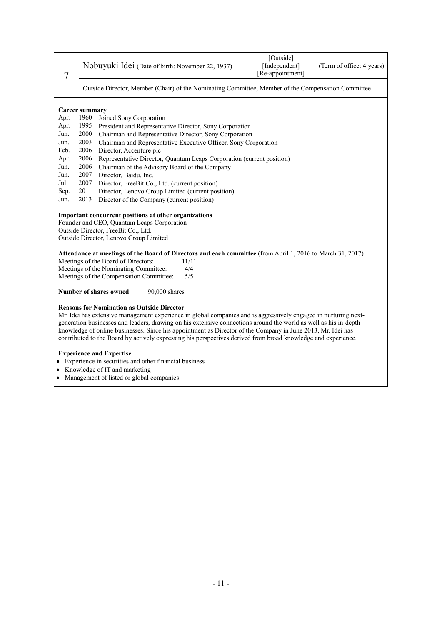| 7    |                                                                                                                  | Nobuyuki Idei (Date of birth: November 22, 1937)                                                                | [Outside]<br>[Independent]<br>[Re-appointment] | (Term of office: 4 years) |
|------|------------------------------------------------------------------------------------------------------------------|-----------------------------------------------------------------------------------------------------------------|------------------------------------------------|---------------------------|
|      | Outside Director, Member (Chair) of the Nominating Committee, Member of the Compensation Committee               |                                                                                                                 |                                                |                           |
|      |                                                                                                                  |                                                                                                                 |                                                |                           |
| Apr. | <b>Career summary</b><br>1960<br>Joined Sony Corporation                                                         |                                                                                                                 |                                                |                           |
| Apr. | 1995                                                                                                             | President and Representative Director, Sony Corporation                                                         |                                                |                           |
| Jun. | 2000                                                                                                             | Chairman and Representative Director, Sony Corporation                                                          |                                                |                           |
| Jun. | 2003                                                                                                             | Chairman and Representative Executive Officer, Sony Corporation                                                 |                                                |                           |
| Feb. | 2006                                                                                                             | Director, Accenture plc                                                                                         |                                                |                           |
| Apr. | 2006                                                                                                             | Representative Director, Quantum Leaps Corporation (current position)                                           |                                                |                           |
| Jun. | 2006<br>Chairman of the Advisory Board of the Company                                                            |                                                                                                                 |                                                |                           |
| Jun. | 2007<br>Director, Baidu, Inc.                                                                                    |                                                                                                                 |                                                |                           |
| Jul. | 2007                                                                                                             | Director, FreeBit Co., Ltd. (current position)                                                                  |                                                |                           |
| Sep. | 2011<br>Director, Lenovo Group Limited (current position)                                                        |                                                                                                                 |                                                |                           |
| Jun. | 2013                                                                                                             | Director of the Company (current position)                                                                      |                                                |                           |
|      |                                                                                                                  | Important concurrent positions at other organizations                                                           |                                                |                           |
|      |                                                                                                                  | Founder and CEO, Quantum Leaps Corporation                                                                      |                                                |                           |
|      |                                                                                                                  | Outside Director, FreeBit Co., Ltd.                                                                             |                                                |                           |
|      | Outside Director, Lenovo Group Limited                                                                           |                                                                                                                 |                                                |                           |
|      |                                                                                                                  |                                                                                                                 |                                                |                           |
|      | Attendance at meetings of the Board of Directors and each committee (from April 1, 2016 to March 31, 2017)       |                                                                                                                 |                                                |                           |
|      | Meetings of the Board of Directors:<br>11/11                                                                     |                                                                                                                 |                                                |                           |
|      | Meetings of the Nominating Committee:<br>4/4<br>5/5                                                              |                                                                                                                 |                                                |                           |
|      | Meetings of the Compensation Committee:                                                                          |                                                                                                                 |                                                |                           |
|      | Number of shares owned<br>90,000 shares                                                                          |                                                                                                                 |                                                |                           |
|      |                                                                                                                  | <b>Reasons for Nomination as Outside Director</b>                                                               |                                                |                           |
|      |                                                                                                                  | Mr. Idei has extensive management experience in global companies and is aggressively engaged in nurturing next- |                                                |                           |
|      | generation businesses and leaders, drawing on his extensive connections around the world as well as his in-depth |                                                                                                                 |                                                |                           |
|      |                                                                                                                  | knowledge of online businesses. Since his appointment as Director of the Company in June 2013, Mr. Idei has     |                                                |                           |
|      | contributed to the Board by actively expressing his perspectives derived from broad knowledge and experience.    |                                                                                                                 |                                                |                           |
|      |                                                                                                                  | <b>Experience and Expertise</b>                                                                                 |                                                |                           |

- Experience in securities and other financial business
- Knowledge of IT and marketing
- Management of listed or global companies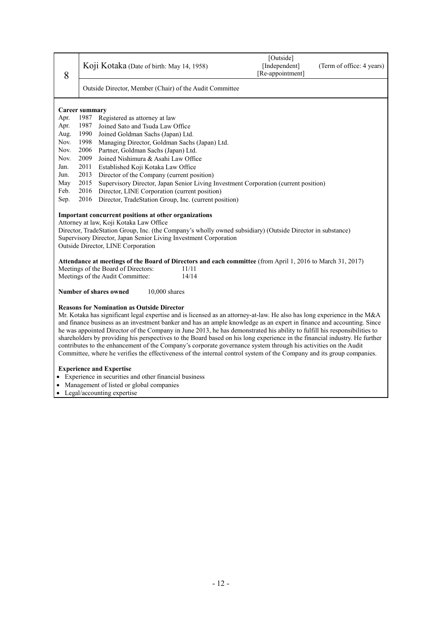| 8                                                                                                                                                                                                                                                                                                                                                                                                                                                                                                                                                                                                                                                                                                                                                                                                             | Koji Kotaka (Date of birth: May 14, 1958)                                                   |                                                                                                            | [Outside]<br>[Independent]<br>[Re-appointment] | (Term of office: 4 years) |
|---------------------------------------------------------------------------------------------------------------------------------------------------------------------------------------------------------------------------------------------------------------------------------------------------------------------------------------------------------------------------------------------------------------------------------------------------------------------------------------------------------------------------------------------------------------------------------------------------------------------------------------------------------------------------------------------------------------------------------------------------------------------------------------------------------------|---------------------------------------------------------------------------------------------|------------------------------------------------------------------------------------------------------------|------------------------------------------------|---------------------------|
|                                                                                                                                                                                                                                                                                                                                                                                                                                                                                                                                                                                                                                                                                                                                                                                                               | Outside Director, Member (Chair) of the Audit Committee                                     |                                                                                                            |                                                |                           |
|                                                                                                                                                                                                                                                                                                                                                                                                                                                                                                                                                                                                                                                                                                                                                                                                               | <b>Career summary</b>                                                                       |                                                                                                            |                                                |                           |
| Apr.                                                                                                                                                                                                                                                                                                                                                                                                                                                                                                                                                                                                                                                                                                                                                                                                          | 1987                                                                                        | Registered as attorney at law                                                                              |                                                |                           |
| Apr.                                                                                                                                                                                                                                                                                                                                                                                                                                                                                                                                                                                                                                                                                                                                                                                                          | 1987                                                                                        | Joined Sato and Tsuda Law Office                                                                           |                                                |                           |
| Aug.                                                                                                                                                                                                                                                                                                                                                                                                                                                                                                                                                                                                                                                                                                                                                                                                          | 1990<br>Joined Goldman Sachs (Japan) Ltd.                                                   |                                                                                                            |                                                |                           |
| Nov.                                                                                                                                                                                                                                                                                                                                                                                                                                                                                                                                                                                                                                                                                                                                                                                                          | 1998                                                                                        | Managing Director, Goldman Sachs (Japan) Ltd.                                                              |                                                |                           |
| Nov.                                                                                                                                                                                                                                                                                                                                                                                                                                                                                                                                                                                                                                                                                                                                                                                                          | 2006                                                                                        | Partner, Goldman Sachs (Japan) Ltd.                                                                        |                                                |                           |
| Nov.                                                                                                                                                                                                                                                                                                                                                                                                                                                                                                                                                                                                                                                                                                                                                                                                          | 2009                                                                                        | Joined Nishimura & Asahi Law Office                                                                        |                                                |                           |
| Jan.                                                                                                                                                                                                                                                                                                                                                                                                                                                                                                                                                                                                                                                                                                                                                                                                          | 2011<br>Established Koji Kotaka Law Office                                                  |                                                                                                            |                                                |                           |
| Jun.                                                                                                                                                                                                                                                                                                                                                                                                                                                                                                                                                                                                                                                                                                                                                                                                          | 2013                                                                                        | Director of the Company (current position)                                                                 |                                                |                           |
| May                                                                                                                                                                                                                                                                                                                                                                                                                                                                                                                                                                                                                                                                                                                                                                                                           | 2015<br>Supervisory Director, Japan Senior Living Investment Corporation (current position) |                                                                                                            |                                                |                           |
| Feb.                                                                                                                                                                                                                                                                                                                                                                                                                                                                                                                                                                                                                                                                                                                                                                                                          | 2016<br>Director, LINE Corporation (current position)                                       |                                                                                                            |                                                |                           |
| Sep.                                                                                                                                                                                                                                                                                                                                                                                                                                                                                                                                                                                                                                                                                                                                                                                                          | 2016                                                                                        | Director, TradeStation Group, Inc. (current position)                                                      |                                                |                           |
| Important concurrent positions at other organizations<br>Attorney at law, Koji Kotaka Law Office<br>Director, TradeStation Group, Inc. (the Company's wholly owned subsidiary) (Outside Director in substance)<br>Supervisory Director, Japan Senior Living Investment Corporation<br>Outside Director, LINE Corporation                                                                                                                                                                                                                                                                                                                                                                                                                                                                                      |                                                                                             |                                                                                                            |                                                |                           |
|                                                                                                                                                                                                                                                                                                                                                                                                                                                                                                                                                                                                                                                                                                                                                                                                               |                                                                                             | Attendance at meetings of the Board of Directors and each committee (from April 1, 2016 to March 31, 2017) |                                                |                           |
|                                                                                                                                                                                                                                                                                                                                                                                                                                                                                                                                                                                                                                                                                                                                                                                                               | Meetings of the Board of Directors:<br>11/11                                                |                                                                                                            |                                                |                           |
|                                                                                                                                                                                                                                                                                                                                                                                                                                                                                                                                                                                                                                                                                                                                                                                                               | Meetings of the Audit Committee:<br>14/14                                                   |                                                                                                            |                                                |                           |
| Number of shares owned<br>10,000 shares                                                                                                                                                                                                                                                                                                                                                                                                                                                                                                                                                                                                                                                                                                                                                                       |                                                                                             |                                                                                                            |                                                |                           |
| <b>Reasons for Nomination as Outside Director</b><br>Mr. Kotaka has significant legal expertise and is licensed as an attorney-at-law. He also has long experience in the M&A<br>and finance business as an investment banker and has an ample knowledge as an expert in finance and accounting. Since<br>he was appointed Director of the Company in June 2013, he has demonstrated his ability to fulfill his responsibilities to<br>shareholders by providing his perspectives to the Board based on his long experience in the financial industry. He further<br>contributes to the enhancement of the Company's corporate governance system through his activities on the Audit<br>Committee, where he verifies the effectiveness of the internal control system of the Company and its group companies. |                                                                                             |                                                                                                            |                                                |                           |
| <b>Experience and Expertise</b><br>• Experience in securities and other financial business<br>• Management of listed or global companies<br>$\mathbf{r}$ . The set of the set of the set of the set of the set of the set of the set of the set of the set of the set of the set of the set of the set of the set of the set of the set of the set of the set of the set of t                                                                                                                                                                                                                                                                                                                                                                                                                                 |                                                                                             |                                                                                                            |                                                |                           |

Legal/accounting expertise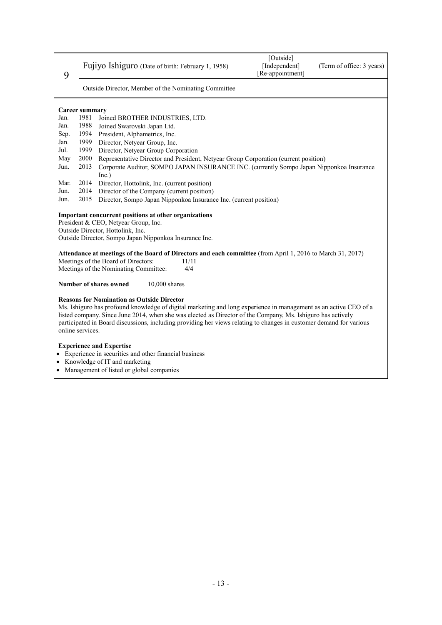| 9                                                                                                                                                                                                                                                                                                                                                                                                                               | Fujiyo Ishiguro (Date of birth: February 1, 1958)                                                                                                                                            | [Outside]<br>[Independent]<br>[Re-appointment] | (Term of office: 3 years) |
|---------------------------------------------------------------------------------------------------------------------------------------------------------------------------------------------------------------------------------------------------------------------------------------------------------------------------------------------------------------------------------------------------------------------------------|----------------------------------------------------------------------------------------------------------------------------------------------------------------------------------------------|------------------------------------------------|---------------------------|
|                                                                                                                                                                                                                                                                                                                                                                                                                                 | Outside Director, Member of the Nominating Committee                                                                                                                                         |                                                |                           |
|                                                                                                                                                                                                                                                                                                                                                                                                                                 | <b>Career summary</b>                                                                                                                                                                        |                                                |                           |
| Jan.                                                                                                                                                                                                                                                                                                                                                                                                                            | 1981<br>Joined BROTHER INDUSTRIES, LTD.                                                                                                                                                      |                                                |                           |
| Jan.                                                                                                                                                                                                                                                                                                                                                                                                                            | 1988<br>Joined Swarovski Japan Ltd.                                                                                                                                                          |                                                |                           |
| Sep.                                                                                                                                                                                                                                                                                                                                                                                                                            | 1994<br>President, Alphametrics, Inc.                                                                                                                                                        |                                                |                           |
| Jan.                                                                                                                                                                                                                                                                                                                                                                                                                            | 1999<br>Director, Netyear Group, Inc.                                                                                                                                                        |                                                |                           |
| Jul.                                                                                                                                                                                                                                                                                                                                                                                                                            | 1999<br>Director, Netyear Group Corporation                                                                                                                                                  |                                                |                           |
| May                                                                                                                                                                                                                                                                                                                                                                                                                             | 2000<br>Representative Director and President, Netyear Group Corporation (current position)                                                                                                  |                                                |                           |
| Jun.                                                                                                                                                                                                                                                                                                                                                                                                                            | Corporate Auditor, SOMPO JAPAN INSURANCE INC. (currently Sompo Japan Nipponkoa Insurance<br>2013                                                                                             |                                                |                           |
|                                                                                                                                                                                                                                                                                                                                                                                                                                 | Inc.)                                                                                                                                                                                        |                                                |                           |
| Mar.                                                                                                                                                                                                                                                                                                                                                                                                                            | 2014<br>Director, Hottolink, Inc. (current position)                                                                                                                                         |                                                |                           |
| Jun.                                                                                                                                                                                                                                                                                                                                                                                                                            | Director of the Company (current position)<br>2014                                                                                                                                           |                                                |                           |
| Jun.                                                                                                                                                                                                                                                                                                                                                                                                                            | Director, Sompo Japan Nipponkoa Insurance Inc. (current position)<br>2015                                                                                                                    |                                                |                           |
|                                                                                                                                                                                                                                                                                                                                                                                                                                 | Important concurrent positions at other organizations<br>President & CEO, Netyear Group, Inc.<br>Outside Director, Hottolink, Inc.<br>Outside Director, Sompo Japan Nipponkoa Insurance Inc. |                                                |                           |
| Attendance at meetings of the Board of Directors and each committee (from April 1, 2016 to March 31, 2017)<br>Meetings of the Board of Directors:<br>11/11<br>Meetings of the Nominating Committee:<br>4/4                                                                                                                                                                                                                      |                                                                                                                                                                                              |                                                |                           |
|                                                                                                                                                                                                                                                                                                                                                                                                                                 | Number of shares owned<br>$10,000$ shares                                                                                                                                                    |                                                |                           |
| <b>Reasons for Nomination as Outside Director</b><br>Ms. Ishiguro has profound knowledge of digital marketing and long experience in management as an active CEO of a<br>listed company. Since June 2014, when she was elected as Director of the Company, Ms. Ishiguro has actively<br>participated in Board discussions, including providing her views relating to changes in customer demand for various<br>online services. |                                                                                                                                                                                              |                                                |                           |
|                                                                                                                                                                                                                                                                                                                                                                                                                                 | <b>Experience and Expertise</b>                                                                                                                                                              |                                                |                           |

- Experience in securities and other financial business
- Knowledge of IT and marketing
- Management of listed or global companies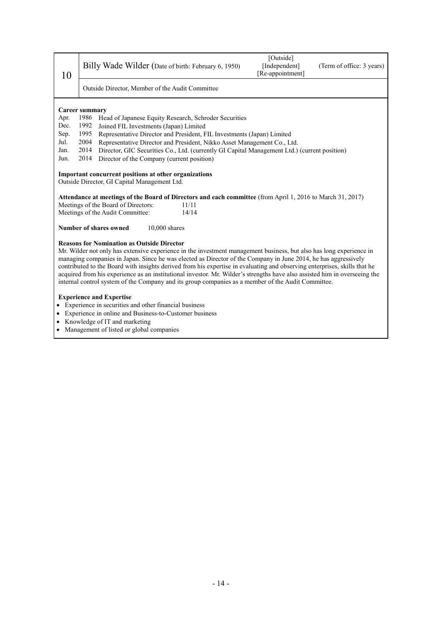Management of listed or global companies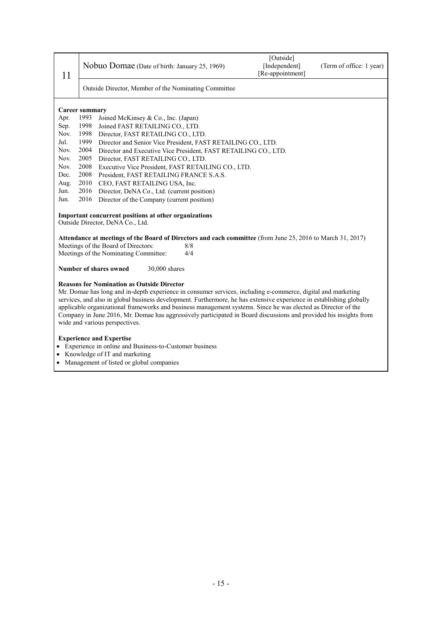| 11                                                                                                                                                                                                                                                                                                                                                                                                                                                                                                                                                                | Nobuo Domae (Date of birth: January 25, 1969)                                                                                                                          | [Outside]<br>[Independent]<br>[Re-appointment] | (Term of office: 1 year) |
|-------------------------------------------------------------------------------------------------------------------------------------------------------------------------------------------------------------------------------------------------------------------------------------------------------------------------------------------------------------------------------------------------------------------------------------------------------------------------------------------------------------------------------------------------------------------|------------------------------------------------------------------------------------------------------------------------------------------------------------------------|------------------------------------------------|--------------------------|
|                                                                                                                                                                                                                                                                                                                                                                                                                                                                                                                                                                   | Outside Director, Member of the Nominating Committee                                                                                                                   |                                                |                          |
|                                                                                                                                                                                                                                                                                                                                                                                                                                                                                                                                                                   | <b>Career summary</b>                                                                                                                                                  |                                                |                          |
| Apr.                                                                                                                                                                                                                                                                                                                                                                                                                                                                                                                                                              | 1993<br>Joined McKinsey & Co., Inc. (Japan)                                                                                                                            |                                                |                          |
| Sep.                                                                                                                                                                                                                                                                                                                                                                                                                                                                                                                                                              | 1998<br>Joined FAST RETAILING CO., LTD.                                                                                                                                |                                                |                          |
| Nov.                                                                                                                                                                                                                                                                                                                                                                                                                                                                                                                                                              | 1998<br>Director, FAST RETAILING CO., LTD.                                                                                                                             |                                                |                          |
| Jul.                                                                                                                                                                                                                                                                                                                                                                                                                                                                                                                                                              | 1999<br>Director and Senior Vice President, FAST RETAILING CO., LTD.                                                                                                   |                                                |                          |
| Nov.                                                                                                                                                                                                                                                                                                                                                                                                                                                                                                                                                              | 2004<br>Director and Executive Vice President, FAST RETAILING CO., LTD.                                                                                                |                                                |                          |
| Nov.                                                                                                                                                                                                                                                                                                                                                                                                                                                                                                                                                              | 2005<br>Director, FAST RETAILING CO., LTD.                                                                                                                             |                                                |                          |
| Nov.                                                                                                                                                                                                                                                                                                                                                                                                                                                                                                                                                              | 2008<br>Executive Vice President, FAST RETAILING CO., LTD.                                                                                                             |                                                |                          |
| Dec.                                                                                                                                                                                                                                                                                                                                                                                                                                                                                                                                                              | 2008<br>President, FAST RETAILING FRANCE S.A.S.                                                                                                                        |                                                |                          |
| Aug.                                                                                                                                                                                                                                                                                                                                                                                                                                                                                                                                                              | 2010<br>CEO, FAST RETAILING USA, Inc.                                                                                                                                  |                                                |                          |
| Jun.                                                                                                                                                                                                                                                                                                                                                                                                                                                                                                                                                              | 2016<br>Director, DeNA Co., Ltd. (current position)                                                                                                                    |                                                |                          |
| Jun.                                                                                                                                                                                                                                                                                                                                                                                                                                                                                                                                                              | 2016<br>Director of the Company (current position)                                                                                                                     |                                                |                          |
|                                                                                                                                                                                                                                                                                                                                                                                                                                                                                                                                                                   | Important concurrent positions at other organizations<br>Outside Director, DeNA Co., Ltd.                                                                              |                                                |                          |
|                                                                                                                                                                                                                                                                                                                                                                                                                                                                                                                                                                   | Attendance at meetings of the Board of Directors and each committee (from June 25, 2016 to March 31, 2017)                                                             |                                                |                          |
|                                                                                                                                                                                                                                                                                                                                                                                                                                                                                                                                                                   | Meetings of the Board of Directors:<br>8/8                                                                                                                             |                                                |                          |
|                                                                                                                                                                                                                                                                                                                                                                                                                                                                                                                                                                   | Meetings of the Nominating Committee:<br>4/4                                                                                                                           |                                                |                          |
|                                                                                                                                                                                                                                                                                                                                                                                                                                                                                                                                                                   | <b>Number of shares owned</b><br>30,000 shares                                                                                                                         |                                                |                          |
| <b>Reasons for Nomination as Outside Director</b><br>Mr. Domae has long and in-depth experience in consumer services, including e-commerce, digital and marketing<br>services, and also in global business development. Furthermore, he has extensive experience in establishing globally<br>applicable organizational frameworks and business management systems. Since he was elected as Director of the<br>Company in June 2016, Mr. Domae has aggressively participated in Board discussions and provided his insights from<br>wide and various perspectives. |                                                                                                                                                                        |                                                |                          |
|                                                                                                                                                                                                                                                                                                                                                                                                                                                                                                                                                                   | <b>Experience and Expertise</b><br>Experience in online and Business-to-Customer business<br>Knowledge of IT and marketing<br>Management of listed or global companies |                                                |                          |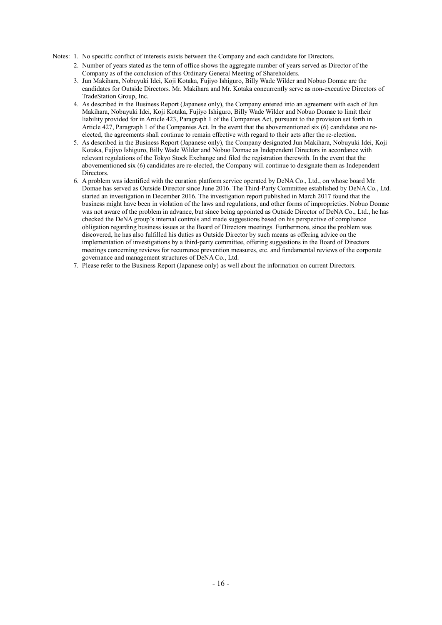Notes: 1. No specific conflict of interests exists between the Company and each candidate for Directors.

- 2. Number of years stated as the term of office shows the aggregate number of years served as Director of the Company as of the conclusion of this Ordinary General Meeting of Shareholders.
- 3. Jun Makihara, Nobuyuki Idei, Koji Kotaka, Fujiyo Ishiguro, Billy Wade Wilder and Nobuo Domae are the candidates for Outside Directors. Mr. Makihara and Mr. Kotaka concurrently serve as non-executive Directors of TradeStation Group, Inc.
- 4. As described in the Business Report (Japanese only), the Company entered into an agreement with each of Jun Makihara, Nobuyuki Idei, Koji Kotaka, Fujiyo Ishiguro, Billy Wade Wilder and Nobuo Domae to limit their liability provided for in Article 423, Paragraph 1 of the Companies Act, pursuant to the provision set forth in Article 427, Paragraph 1 of the Companies Act. In the event that the abovementioned six (6) candidates are reelected, the agreements shall continue to remain effective with regard to their acts after the re-election.
- 5. As described in the Business Report (Japanese only), the Company designated Jun Makihara, Nobuyuki Idei, Koji Kotaka, Fujiyo Ishiguro, Billy Wade Wilder and Nobuo Domae as Independent Directors in accordance with relevant regulations of the Tokyo Stock Exchange and filed the registration therewith. In the event that the abovementioned six (6) candidates are re-elected, the Company will continue to designate them as Independent **Directors**
- 6. A problem was identified with the curation platform service operated by DeNA Co., Ltd., on whose board Mr. Domae has served as Outside Director since June 2016. The Third-Party Committee established by DeNA Co., Ltd. started an investigation in December 2016. The investigation report published in March 2017 found that the business might have been in violation of the laws and regulations, and other forms of improprieties. Nobuo Domae was not aware of the problem in advance, but since being appointed as Outside Director of DeNA Co., Ltd., he has checked the DeNA group's internal controls and made suggestions based on his perspective of compliance obligation regarding business issues at the Board of Directors meetings. Furthermore, since the problem was discovered, he has also fulfilled his duties as Outside Director by such means as offering advice on the implementation of investigations by a third-party committee, offering suggestions in the Board of Directors meetings concerning reviews for recurrence prevention measures, etc. and fundamental reviews of the corporate governance and management structures of DeNA Co., Ltd.
- 7. Please refer to the Business Report (Japanese only) as well about the information on current Directors.